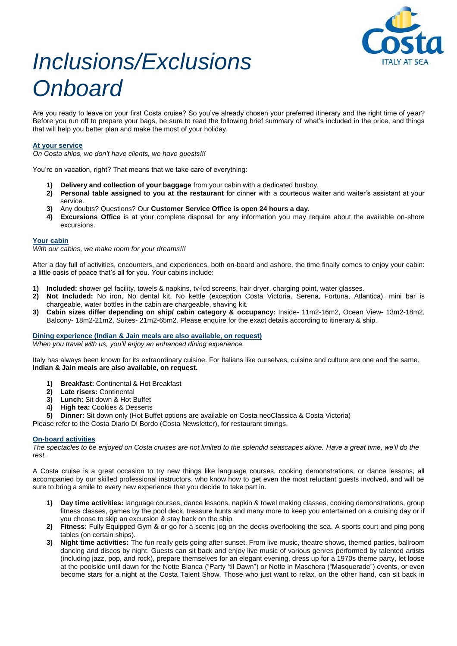

# Inclusions/Exclusions **Onboard**

Are you ready to leave on your first Costa cruise? So you've already chosen your preferred itinerary and the right time of year? Before you run off to prepare your bags, be sure to read the following brief summary of what's included in the price, and things that will help you better plan and make the most of your holiday.

### **At your service**

*On Costa ships, we don't have clients, we have guests!!!*

You're on vacation, right? That means that we take care of everything:

- **1) Delivery and collection of your baggage** from your cabin with a dedicated busboy.
- **2) Personal table assigned to you at the restaurant** for dinner with a courteous waiter and waiter's assistant at your service.
- **3)** Any doubts? Questions? Our **Customer Service Office is open 24 hours a day**.
- **4) Excursions Office** is at your complete disposal for any information you may require about the available on-shore excursions.

#### **Your cabin**

With our cabins, we make room for your dreams!!!

After a day full of activities, encounters, and experiences, both on-board and ashore, the time finally comes to enjoy your cabin: a little oasis of peace that's all for you. Your cabins include:

- **1) Included:** shower gel facility, towels & napkins, tv-lcd screens, hair dryer, charging point, water glasses.
- **2) Not Included:** No iron, No dental kit, No kettle (exception Costa Victoria, Serena, Fortuna, Atlantica), mini bar is chargeable, water bottles in the cabin are chargeable, shaving kit.
- **3) Cabin sizes differ depending on ship/ cabin category & occupancy:** Inside- 11m2-16m2, Ocean View- 13m2-18m2, Balcony- 18m2-21m2, Suites- 21m2-65m2. Please enquire for the exact details according to itinerary & ship.

**Dining experience (Indian & Jain meals are also available, on request)** When you travel with us, *you'll enjoy an enhanced dining experience.*

Italy has always been known for its extraordinary cuisine. For Italians like ourselves, cuisine and culture are one and the same. **Indian & Jain meals are also available, on request.** 

- **1) Breakfast:** Continental & Hot Breakfast
- 
- **2) Late risers:** Continental **3) Lunch:** Sit down & Hot Buffet
- **4) High tea:** Cookies & Desserts
- **5) Dinner:** Sit down only (Hot Buffet options are available on Costa neoClassica & Costa Victoria)

Please refer to the Costa Diario Di Bordo (Costa Newsletter), for restaurant timings.

#### **On-board activities**

The spectacles to be enjoyed on Costa cruises are not limited to the splendid seascapes alone. *Have a great time, we'll* do the rest.

A Costa cruise is a great occasion to try new things like language courses, cooking demonstrations, or dance lessons, all accompanied by our skilled professional instructors, who know how to get even the most reluctant guests involved, and will be sure to bring a smile to every new experience that you decide to take part in.

- **1) Day time activities:** language courses, dance lessons, napkin & towel making classes, cooking demonstrations, group fitness classes, games by the pool deck, treasure hunts and many more to keep you entertained on a cruising day or if you choose to skip an excursion & stay back on the ship.
- **2) Fitness:** Fully Equipped Gym & or go for a scenic jog on the decks overlooking the sea. A sports court and ping pong tables (on certain ships).
- **3) Night time activities:** The fun really gets going after sunset. From live music, theatre shows, themed parties, ballroom dancing and discos by night. Guests can sit back and enjoy live music of various genres performed by talented artists (including jazz, pop, and rock), prepare themselves for an elegant evening, dress up for a 1970s theme party, let loose at the poolside until dawn for the Notte Bianca ("Party 'til Dawn") or Notte in Maschera ("Masquerade") events, or even become stars for a night at the Costa Talent Show. Those who just want to relax, on the other hand, can sit back in